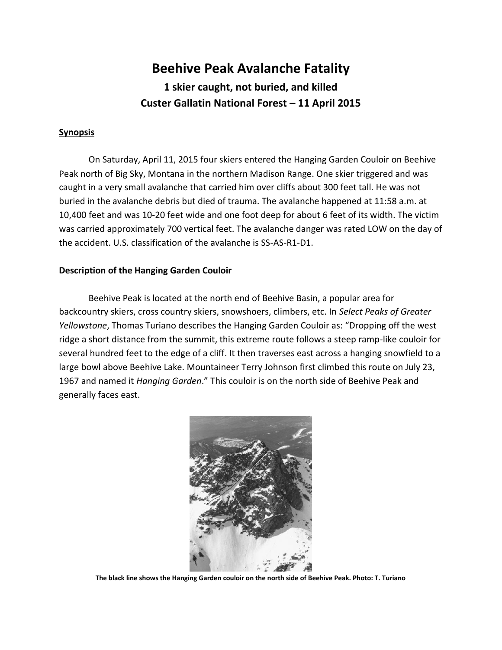# **Beehive Peak Avalanche Fatality 1 skier caught, not buried, and killed Custer Gallatin National Forest – 11 April 2015**

### **Synopsis**

On Saturday, April 11, 2015 four skiers entered the Hanging Garden Couloir on Beehive Peak north of Big Sky, Montana in the northern Madison Range. One skier triggered and was caught in a very small avalanche that carried him over cliffs about 300 feet tall. He was not buried in the avalanche debris but died of trauma. The avalanche happened at 11:58 a.m. at 10,400 feet and was 10-20 feet wide and one foot deep for about 6 feet of its width. The victim was carried approximately 700 vertical feet. The avalanche danger was rated LOW on the day of the accident. U.S. classification of the avalanche is SS-AS-R1-D1.

#### **Description of the Hanging Garden Couloir**

Beehive Peak is located at the north end of Beehive Basin, a popular area for backcountry skiers, cross country skiers, snowshoers, climbers, etc. In *Select Peaks of Greater Yellowstone*, Thomas Turiano describes the Hanging Garden Couloir as: "Dropping off the west ridge a short distance from the summit, this extreme route follows a steep ramp-like couloir for several hundred feet to the edge of a cliff. It then traverses east across a hanging snowfield to a large bowl above Beehive Lake. Mountaineer Terry Johnson first climbed this route on July 23, 1967 and named it *Hanging Garden*." This couloir is on the north side of Beehive Peak and generally faces east.



**The black line shows the Hanging Garden couloir on the north side of Beehive Peak. Photo: T. Turiano**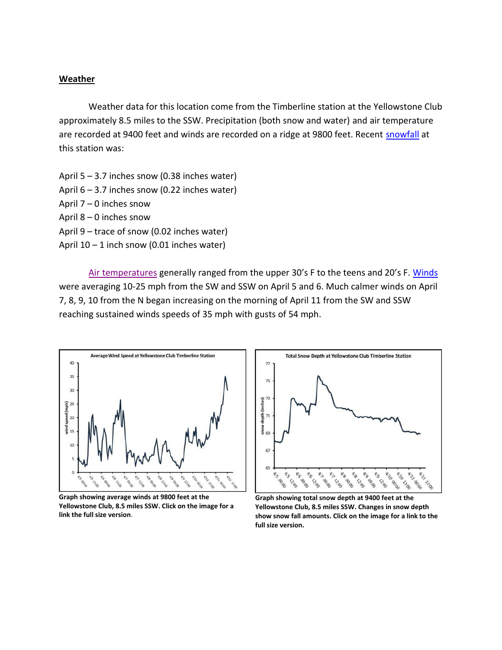#### **Weather**

Weather data for this location come from the Timberline station at the Yellowstone Club approximately 8.5 miles to the SSW. Precipitation (both snow and water) and air temperature are recorded at 9400 feet and winds are recorded on a ridge at 9800 feet. Recent [snowfall](http://www.mtavalanche.com/images/15/snow-depth-near-beehive) at this station was:

April 5 – 3.7 inches snow (0.38 inches water) April 6 – 3.7 inches snow (0.22 inches water) April 7 – 0 inches snow April 8 – 0 inches snow April 9 – trace of snow (0.02 inches water) April  $10 - 1$  inch snow (0.01 inches water)

[Air temperatures](http://www.mtavalanche.com/images/15/air-temperature-near-beehive) generally ranged from the upper 30's F to the teens and 20's F. [Winds](http://www.mtavalanche.com/images/15/winds-near-beehive) were averaging 10-25 mph from the SW and SSW on April 5 and 6. Much calmer winds on April 7, 8, 9, 10 from the N began increasing on the morning of April 11 from the SW and SSW reaching sustained winds speeds of 35 mph with gusts of 54 mph.



**Graph showing average winds at 9800 feet at the Yellowstone Club, 8.5 miles SSW. Click on the image for a link the full size version.**



**Graph showing total snow depth at 9400 feet at the Yellowstone Club, 8.5 miles SSW. Changes in snow depth show snow fall amounts. Click on the image for a link to the full size version.**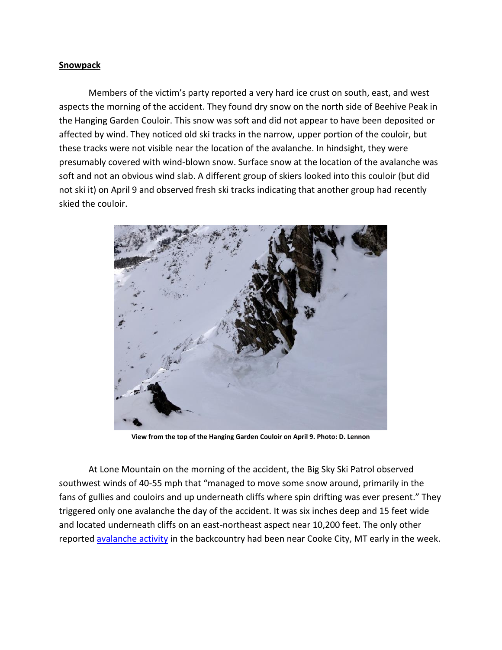#### **Snowpack**

Members of the victim's party reported a very hard ice crust on south, east, and west aspects the morning of the accident. They found dry snow on the north side of Beehive Peak in the Hanging Garden Couloir. This snow was soft and did not appear to have been deposited or affected by wind. They noticed old ski tracks in the narrow, upper portion of the couloir, but these tracks were not visible near the location of the avalanche. In hindsight, they were presumably covered with wind-blown snow. Surface snow at the location of the avalanche was soft and not an obvious wind slab. A different group of skiers looked into this couloir (but did not ski it) on April 9 and observed fresh ski tracks indicating that another group had recently skied the couloir.



**View from the top of the Hanging Garden Couloir on April 9. Photo: D. Lennon**

At Lone Mountain on the morning of the accident, the Big Sky Ski Patrol observed southwest winds of 40-55 mph that "managed to move some snow around, primarily in the fans of gullies and couloirs and up underneath cliffs where spin drifting was ever present." They triggered only one avalanche the day of the accident. It was six inches deep and 15 feet wide and located underneath cliffs on an east-northeast aspect near 10,200 feet. The only other reported [avalanche activity](http://www.mtavalanche.com/images/15/skier-triggered-soft-slab) in the backcountry had been near Cooke City, MT early in the week.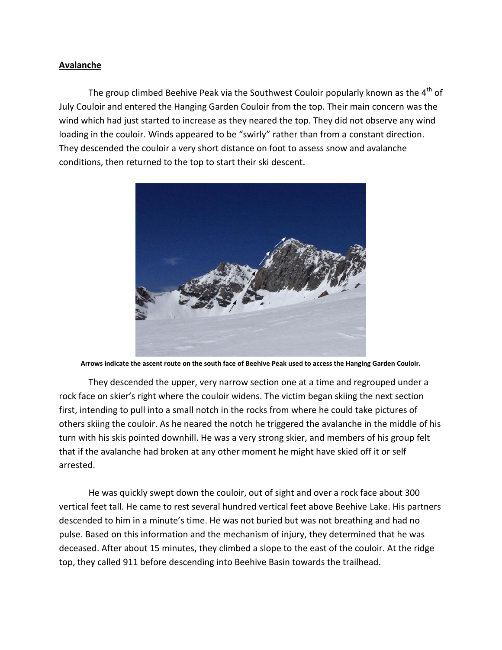## **Avalanche**

The group climbed Beehive Peak via the Southwest Couloir popularly known as the  $4<sup>th</sup>$  of July Couloir and entered the Hanging Garden Couloir from the top. Their main concern was the wind which had just started to increase as they neared the top. They did not observe any wind loading in the couloir. Winds appeared to be "swirly" rather than from a constant direction. They descended the couloir a very short distance on foot to assess snow and avalanche conditions, then returned to the top to start their ski descent.



**Arrows indicate the ascent route on the south face of Beehive Peak used to access the Hanging Garden Couloir.**

They descended the upper, very narrow section one at a time and regrouped under a rock face on skier's right where the couloir widens. The victim began skiing the next section first, intending to pull into a small notch in the rocks from where he could take pictures of others skiing the couloir. As he neared the notch he triggered the avalanche in the middle of his turn with his skis pointed downhill. He was a very strong skier, and members of his group felt that if the avalanche had broken at any other moment he might have skied off it or self arrested.

He was quickly swept down the couloir, out of sight and over a rock face about 300 vertical feet tall. He came to rest several hundred vertical feet above Beehive Lake. His partners descended to him in a minute's time. He was not buried but was not breathing and had no pulse. Based on this information and the mechanism of injury, they determined that he was deceased. After about 15 minutes, they climbed a slope to the east of the couloir. At the ridge top, they called 911 before descending into Beehive Basin towards the trailhead.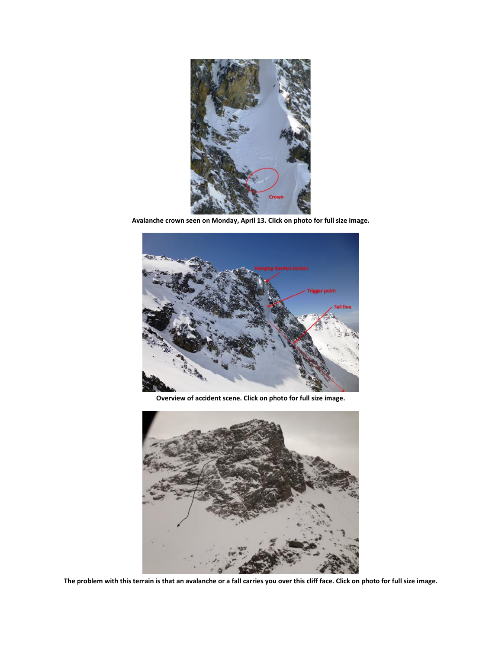

**Avalanche crown seen on Monday, April 13. Click on photo for full size image.**



**Overview of accident scene. Click on photo for full size image.**



**The problem with this terrain is that an avalanche or a fall carries you over this cliff face. Click on photo for full size image.**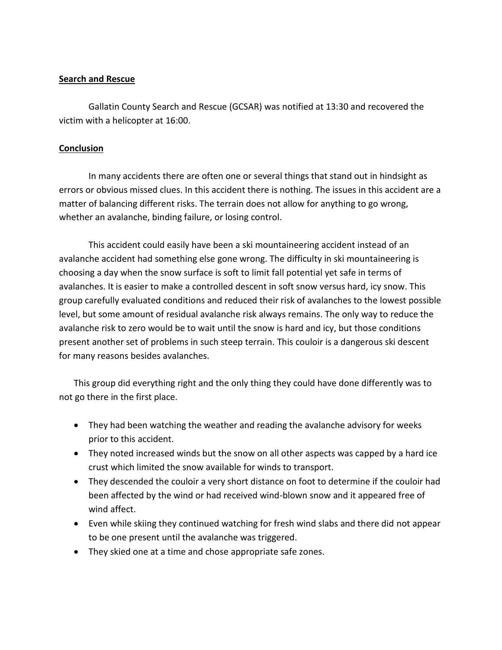## **Search and Rescue**

Gallatin County Search and Rescue (GCSAR) was notified at 13:30 and recovered the victim with a helicopter at 16:00.

## **Conclusion**

In many accidents there are often one or several things that stand out in hindsight as errors or obvious missed clues. In this accident there is nothing. The issues in this accident are a matter of balancing different risks. The terrain does not allow for anything to go wrong, whether an avalanche, binding failure, or losing control.

This accident could easily have been a ski mountaineering accident instead of an avalanche accident had something else gone wrong. The difficulty in ski mountaineering is choosing a day when the snow surface is soft to limit fall potential yet safe in terms of avalanches. It is easier to make a controlled descent in soft snow versus hard, icy snow. This group carefully evaluated conditions and reduced their risk of avalanches to the lowest possible level, but some amount of residual avalanche risk always remains. The only way to reduce the avalanche risk to zero would be to wait until the snow is hard and icy, but those conditions present another set of problems in such steep terrain. This couloir is a dangerous ski descent for many reasons besides avalanches.

This group did everything right and the only thing they could have done differently was to not go there in the first place.

- They had been watching the weather and reading the avalanche advisory for weeks prior to this accident.
- They noted increased winds but the snow on all other aspects was capped by a hard ice crust which limited the snow available for winds to transport.
- They descended the couloir a very short distance on foot to determine if the couloir had been affected by the wind or had received wind-blown snow and it appeared free of wind affect.
- Even while skiing they continued watching for fresh wind slabs and there did not appear to be one present until the avalanche was triggered.
- They skied one at a time and chose appropriate safe zones.